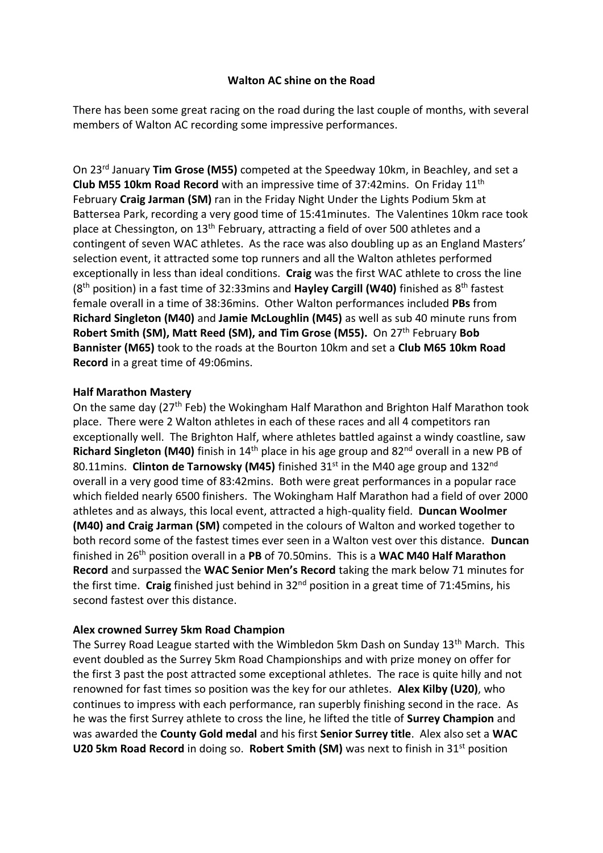## **Walton AC shine on the Road**

There has been some great racing on the road during the last couple of months, with several members of Walton AC recording some impressive performances.

On 23rd January **Tim Grose (M55)** competed at the Speedway 10km, in Beachley, and set a **Club M55 10km Road Record** with an impressive time of 37:42mins. On Friday 11th February **Craig Jarman (SM)** ran in the Friday Night Under the Lights Podium 5km at Battersea Park, recording a very good time of 15:41minutes. The Valentines 10km race took place at Chessington, on 13th February, attracting a field of over 500 athletes and a contingent of seven WAC athletes. As the race was also doubling up as an England Masters' selection event, it attracted some top runners and all the Walton athletes performed exceptionally in less than ideal conditions. **Craig** was the first WAC athlete to cross the line (8 th position) in a fast time of 32:33mins and **Hayley Cargill (W40)** finished as 8th fastest female overall in a time of 38:36mins. Other Walton performances included **PBs** from **Richard Singleton (M40)** and **Jamie McLoughlin (M45)** as well as sub 40 minute runs from **Robert Smith (SM), Matt Reed (SM), and Tim Grose (M55).** On 27th February **Bob Bannister (M65)** took to the roads at the Bourton 10km and set a **Club M65 10km Road Record** in a great time of 49:06mins.

## **Half Marathon Mastery**

On the same day (27<sup>th</sup> Feb) the Wokingham Half Marathon and Brighton Half Marathon took place. There were 2 Walton athletes in each of these races and all 4 competitors ran exceptionally well. The Brighton Half, where athletes battled against a windy coastline, saw Richard Singleton (M40) finish in 14<sup>th</sup> place in his age group and 82<sup>nd</sup> overall in a new PB of 80.11mins. **Clinton de Tarnowsky (M45)** finished 31<sup>st</sup> in the M40 age group and 132<sup>nd</sup> overall in a very good time of 83:42mins. Both were great performances in a popular race which fielded nearly 6500 finishers. The Wokingham Half Marathon had a field of over 2000 athletes and as always, this local event, attracted a high-quality field. **Duncan Woolmer (M40) and Craig Jarman (SM)** competed in the colours of Walton and worked together to both record some of the fastest times ever seen in a Walton vest over this distance. **Duncan**  finished in 26th position overall in a **PB** of 70.50mins. This is a **WAC M40 Half Marathon Record** and surpassed the **WAC Senior Men's Record** taking the mark below 71 minutes for the first time. **Craig** finished just behind in 32nd position in a great time of 71:45mins, his second fastest over this distance.

## **Alex crowned Surrey 5km Road Champion**

The Surrey Road League started with the Wimbledon 5km Dash on Sunday 13<sup>th</sup> March. This event doubled as the Surrey 5km Road Championships and with prize money on offer for the first 3 past the post attracted some exceptional athletes. The race is quite hilly and not renowned for fast times so position was the key for our athletes. **Alex Kilby (U20)**, who continues to impress with each performance, ran superbly finishing second in the race. As he was the first Surrey athlete to cross the line, he lifted the title of **Surrey Champion** and was awarded the **County Gold medal** and his first **Senior Surrey title**. Alex also set a **WAC U20 5km Road Record** in doing so. **Robert Smith (SM)** was next to finish in 31<sup>st</sup> position